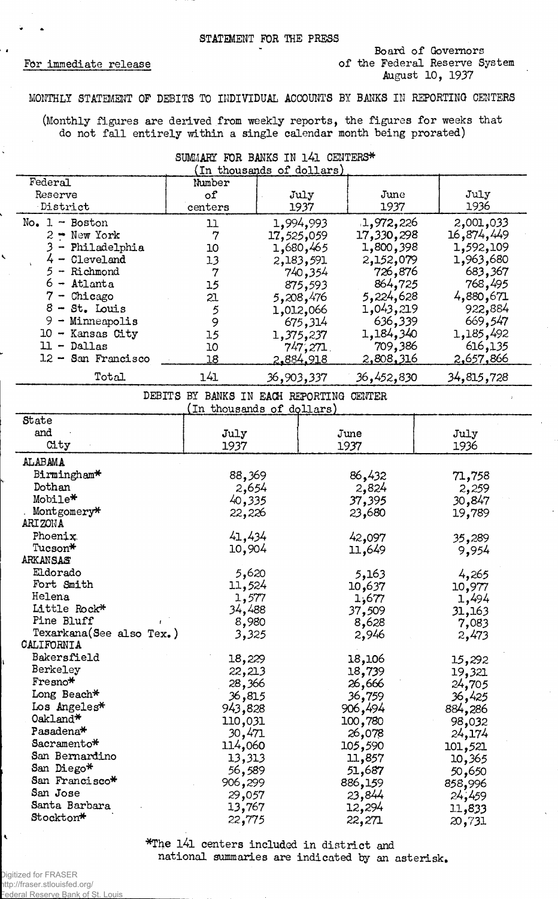## STATEMENT FOR THE PRESS

## For immediate release

÷.

## Board of Governors of the Federal Reserve System August 10, 1937

## MONTHLY STATEMENT OF DEBITS TO INDIVIDUAL ACCOUNTS BY BANKS IN REPORTING CENTERS

(Monthly figures are derived from weekly reports, the figures for weeks that do not fall entirely within a single calendar month being prorated)

SUMMARY FOR BANKS IN 141 CENTERS\*

| (In thousands of dollars)                                           |                         |                                                |                                              |                                              |  |
|---------------------------------------------------------------------|-------------------------|------------------------------------------------|----------------------------------------------|----------------------------------------------|--|
| Federal<br>Reserve<br>District                                      | Number<br>of<br>centers | July<br>1937                                   | June<br>1937                                 | July<br>1936                                 |  |
| $No. 1 - Boston$<br>$2 - New York$<br>- Philadelphia                | 11<br>7<br>10           | 1,994,993<br>17,525,059<br>1,680,465           | 1,972,226<br>17,330,298<br>1,800,398         | 2,001,033<br>16,874,449<br>1,592,109         |  |
| $4 -$ Cleveland<br>$5 -$ Richmond<br>$6 -$ Atlanta<br>$7$ - Chicago | 13<br>7<br>15<br>21     | 2,183,591<br>740,354<br>875,593                | 2,152,079<br>726,876<br>864,725<br>5,224,628 | 1,963,680<br>683,367<br>768,495<br>4,880,671 |  |
| $8 - St.$ Louis<br>$9 -$ Minneapolis<br>10 - Kansas City            | 9<br>15                 | 5,208,476<br>1,012,066<br>675,314<br>1,375,237 | 1,043,219<br>636,339<br>1,184,340            | 922,884<br>669,547<br>1,185,492              |  |
| $11 - $ Dallas<br>12 - San Francisco                                | 10<br>18                | $747,271$ .<br>2.884.918                       | 709,386<br>2,808,316                         | 616,135<br>2,657,866                         |  |
| Total                                                               | 141                     | 36,903,337                                     | 36,452,830                                   | 34,815,728                                   |  |

DEBITS BY BANKS IN EACH REPORTING CENTER

|  |  |  | (In thousands of dollars) |  |  |
|--|--|--|---------------------------|--|--|
|  |  |  |                           |  |  |

| State                    |         |                 |         |
|--------------------------|---------|-----------------|---------|
| and                      | July    | June            | July    |
| City                     | 1937    | 1937            | 1936    |
| <b>ALABAMA</b>           |         |                 |         |
| Birmingham*              | 88,369  | 86,432          | 71,758  |
| Dothan                   | 2,654   | 2,824           | 2,259   |
| Mobile*                  | 40,335  | 37,395          | 30,847  |
| Montgomery*              | 22,226  | 23,680          | 19,789  |
| ARIZONA                  |         |                 |         |
| Phoenix.                 | 41,434  | 42,097          | 35,289  |
| Tucson*                  | 10,904  | 11,649          | 9,954   |
| ARKANSAS                 |         |                 |         |
| Eldorado                 | 5,620   | 5,163           | 4,265   |
| Fort Smith               | 11,524  | 10,637          | 10,977  |
| Helena                   | 1,577   | 1,677           | 1,494   |
| Little Rock*             | 34,488  | 37,509          | 31,163  |
| Pine Bluff               | 8,980   | 8,628           | 7,083   |
| Texarkana(See also Tex.) | 3,325   | 2,946           | 2,473   |
| CALIFORNIA               |         |                 |         |
| Bakersfield              | 18,229  | 18,106          | 15,292  |
| Berkeley                 | 22,213  | 18,739          | 19,321  |
| $F$ resno $*$            | 28,366  | 26,666          | 24,705  |
| Long Beach*              | 36,815  | 36 <b>,</b> 759 | 36,425  |
| Los Angeles*             | 943,828 | 906,494         | 884,286 |
| Oakland*                 | 110,031 | 100,780         | 98,032  |
| Pasadena*                | 30,471  | 26,078          | 24,174  |
| Sacramento*              | 114,060 | 105,590         | 101,521 |
| San Bernardino           | 13,313  | 11,857          | 10,365  |
| San Diego*               | 56,589  | 51,687          | 50,650  |
| San Francisco*           | 906,299 | 886,159         | 858,996 |
| San Jose                 | 29,057  | 23,844          | 24,459  |
| Santa Barbara            | 13,767  | 12,294          | 11,833  |
| Stockton*                | 22,775  | 22,271          | 20,731  |

\*The l4l centers included in district and national summaries are indicated by an asterisk,

Digitized for FRASER http://fraser.stlouisfed.org/ **Federal Reserve Bank of St. Louis**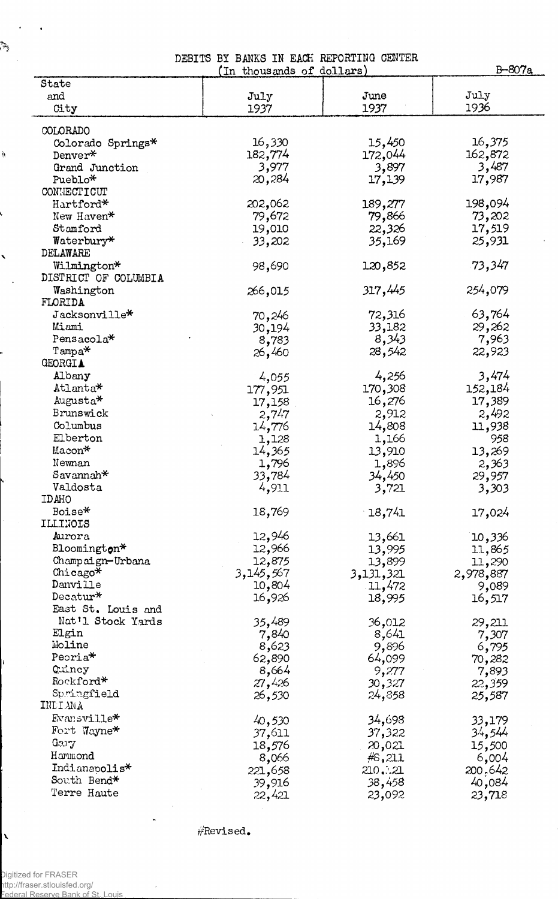DEBITS BY BANKS IN EACH REPORTING CENTER

|                      | (In thousands of dollars) |           | B-807a    |
|----------------------|---------------------------|-----------|-----------|
| State                |                           |           |           |
| and                  | July                      | June      | July      |
| City                 | 1937                      | 1937      | 1936      |
|                      |                           |           |           |
| COLORADO             |                           |           |           |
| Colorado Springs*    | 16,330                    | 15,450    | 16,375    |
| Denver*              | 182,774                   | 172,044   | 162,872   |
| Grand Junction       | 3,977                     | 3,897     | 3,487     |
| Pueblo*              | 20,284                    | 17,139    | 17,987    |
| CONNECTICUT          |                           |           |           |
| Hartford*            | 202,062                   | 189,277   | 198,094   |
| New Haven*           | 79,672                    | 79,866    | 73,202    |
| Stamford             | 19,010                    | 22,326    | 17,519    |
| Waterbury*           | 33,202                    | 35,169    | 25,931    |
| DELAWARE             |                           |           |           |
| Wilmington*          | 98,690                    | 120,852   | .73,347   |
| DISTRICT OF COLUMBIA |                           |           |           |
| Washington           | 266,015                   | 317,445   | 254,079   |
| FLORIDA              |                           |           |           |
| Jacksonville*        | 70,246                    | 72,316    | 63,764    |
| Miami                | 30,194                    | 33,182    | 29,262    |
| Pensacola*           | 8,783                     | 8,343     | 7,963     |
| $Tampa*$             | 26,460                    | 28,542    | 22,923    |
| <b>GEORGIA</b>       |                           |           |           |
| Albany               | 4,055                     | 4,256     | 3,474     |
| Atlanta*             |                           | 170,308   | 152,184   |
| Augusta*             | 177,951                   |           |           |
| Brunswick            | 17,158                    | 16,276    | 17,389    |
|                      | 2,747                     | 2,912     | 2,492     |
| Columbus             | 14,776                    | 14,808    | 11,938    |
| Elberton             | 1,128                     | 1,166     | 958       |
| Macon*               | 14,365                    | 13,910    | 13,269    |
| Newnan               | 1,796                     | 1,896     | 2,363     |
| $Savannah*$          | 33,784                    | 34,450    | 29,957    |
| Valdosta             | 4,911                     | 3,721     | 3,303     |
| IDAHO                |                           |           |           |
| Boise*               | 18,769                    | 18,741    | 17,024    |
| ILLINOIS             |                           |           |           |
| Aurora               | 12,946                    | 13,661    | 10,336    |
| Bloomington*         | 12,966                    | 13,995    | 11,865    |
| Champaign-Urbana     | 12,875                    | 13,899    | 11,290    |
| Chicago $*$          | 3,145,567                 | 3,131,321 | 2,978,887 |
| Danville             | 10,804                    | 11,472    | 9,089     |
| Decatur $*$          | 16,926                    | 18,995    | 16,517    |
| East St. Louis and   |                           |           |           |
| Nat'l Stock Yards    | 35,489                    | 36,012    | 29,211    |
| Elgin                | 7,840                     | 8,641     | 7,307     |
| Moline               | 8,623                     | 9,896     | 6,795     |
| Peoria*              | 62,890                    | 64,099    | 70,282    |
| Quincy               | 8,664                     | 9,277     | 7,893     |
| Rockford*            | 27,426                    | 30,327    | 22,359    |
| Springfield          | 26,530                    | 24,858    | 25,587    |
| INDIANA              |                           |           |           |
| Evansville*          | 40,530                    | 34,698    | 33,179    |
| Fort Wayne*          | 37,611                    | 37,322    | 34,544    |
| Gary                 | 18,576                    | 20,021    | 15,500    |
| Hammond              | 8,066                     | #6,211    | 6,004     |
| Indianapolis*        |                           | 210. 21   | 200,642   |
| South Bend*          | 221,658                   |           |           |
| Terre Haute          | 39,916                    | 38,458    | 40,084    |
|                      | 22,421                    | 23,092    | 23,718    |

^Revised.

in 1933.<br>Katalung

Ņ

1

 $\ddot{\phantom{1}}$ 

 $\mathbf{t}$ 

 $\bar{\mathbf{v}}$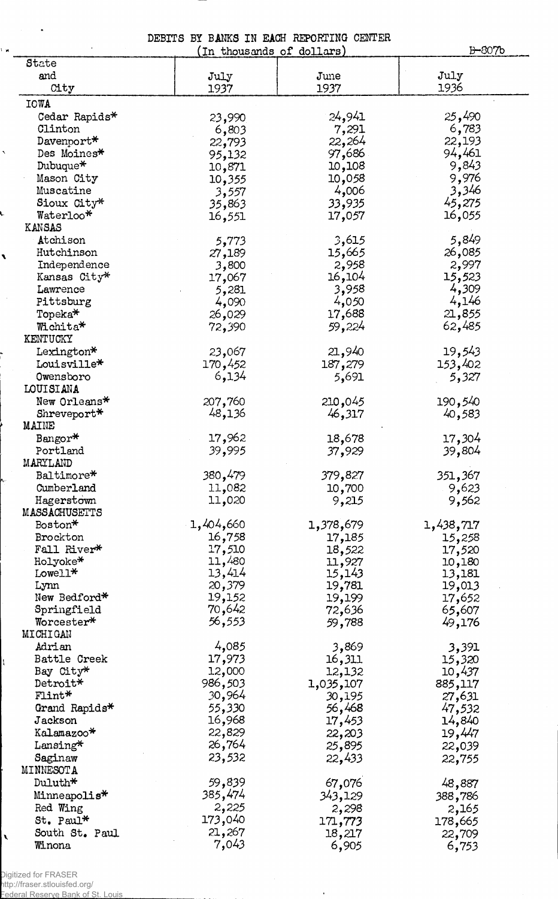DEBITS BY BANKS IN EACH REPORTING CENTER (in thousands of dollars)\_\_\_\_\_\_\_\_\_ \_\_\_\_\_\_\_\_\_\_\_\_ B-807b

| State          |           |           |           |
|----------------|-----------|-----------|-----------|
| and            | July      | June      | July      |
| City           | 1937      | 1937      | 1936      |
| <b>IOWA</b>    |           |           |           |
| Cedar Rapids*  | 23,990    | 24,941    | 25,490    |
| Clinton        | 6,803     | 7,291     | 6,783     |
| Davenport*     | 22,793    | 22,264    | 22,193    |
| Des Moines*    | 95,132    | 97,686    | 94,461    |
| Dubuque*       | 10,871    | 10,108    | 9,843     |
| Mason City     | 10,355    | 10,058    | 9,976     |
| Muscatine      | 3,557     | 4,006     | 3,346     |
| Sioux City*    | 35,863    | 33,935    | 45,275    |
| Waterloo*      | 16,551    | 17,057    | 16,055    |
| KANSAS         |           |           |           |
| Atchison       | 5,773     | 3,615     | 5,849     |
| Hutchinson     | 27,189    | 15,665    | 26,085    |
| Independence   | 3,800     | 2,958     | 2,997     |
| Kansas City*   | 17,067    | 16,104    | 15,523    |
| Lawrence       | 5,281     | 3,958     | 4,309     |
| Pittsburg      | 4,090     | 4,050     | 4,146     |
| Topeka*        | 26,029    | 17,688    | 21,855    |
| Wichita*       | 72,390    | 59,224    | 62,485    |
| KENTUCKY       |           |           |           |
| Lexington*     | 23,067    | 21,940    | 19,543    |
| Louisville*    | 170,452   | 187,279   | 153,402   |
| Owensboro      | 6,134     | 5,691     | 5,327     |
| LOUISIANA      |           |           |           |
| New Orleans*   | 207,760   | 210,045   | 190,540   |
| Shreveport*    | 48,136    | 46,317    | 40,583    |
| <b>MAINE</b>   |           |           |           |
| Bangor*        | 17,962    | 18,678    | 17,304    |
| Portland       | 39,995    | 37,929    | 39,804    |
| MARYLAND       |           |           |           |
| Baltimore*     | 380,479   | 379,827   | 351,367   |
| Cumberland     | 11,082    | 10,700    | 9,623     |
| Hagerstown     | 11,020    | 9,215     | 9,562     |
| MASSACHUSETTS  |           |           |           |
| Boston*        | 1,404,660 | 1,378,679 | 1,438,717 |
| Brockton       | 16,758    | 17,185    | 15,258    |
| Fall River*    | 17,510    | 18,522    | 17,520    |
| Holyoke*       | 11,480    | 11,927    | 10,180    |
| Lowell*        | 13,414    | 15,143    | 13,181    |
| Lynn           | 20,379    | 19,781    | 19,013    |
| New Bedford*   | 19,152    | 19,199    | 17,652    |
| Springfield    | 70,642    | 72,636    | 65,607    |
| Worcester*     | 56,553    | 59,788    | 49,176    |
| MICHIGAN       |           |           |           |
| Adrian         | 4,085     | 3,869     | 3,391     |
| Battle Creek   | 17,973    | 16,311    | 15,320    |
| Bay City*      | 12,000    | 12,132    | 10,437    |
| Detroit*       | 986,503   | 1,035,107 | 885,117   |
| Flint*         | 30,964    | 30,195    | 27,631    |
| Grand Rapids*  | 55,330    | 56,468    | 47,532    |
| Jackson        | 16,968    | 17,453    | 14,840    |
| Kalamazoo*     | 22,829    | 22,203    | 19,447    |
| Lansing*       | 26,764    | 25,895    | 22,039    |
| Saginaw        | 23,532    | 22,433    | 22,755    |
| MINNESOTA      |           |           |           |
| Duluth*        | 59,839    | 67,076    | 48,887    |
| Minneapolis*   | 385,474   | 343,129   | 388,786   |
| Red Wing       | 2,225     | 2,298     | 2,165     |
| St. Paul*      | 173,040   | 171,773   | 178,665   |
| South St. Paul | 21,267    | 18,217    | 22,709    |
| Winona         | 7,043     | 6,905     | 6,753     |
|                |           |           |           |

 $\ddot{\phantom{1}}$ 

Digitized for FRASER

 $\vert$ 

 $\bar{\mathbf{r}}$ 

 $\ddot{\phantom{1}}$ 

 $\frac{1}{2}$ 

 $\bar{\mathbf{r}}$ 

L

 $\mathbf{r}$ 

 $\bar{\beta}$ 

http://fraser.stlouisfed.org/

Federal Reserve Bank of St. Louis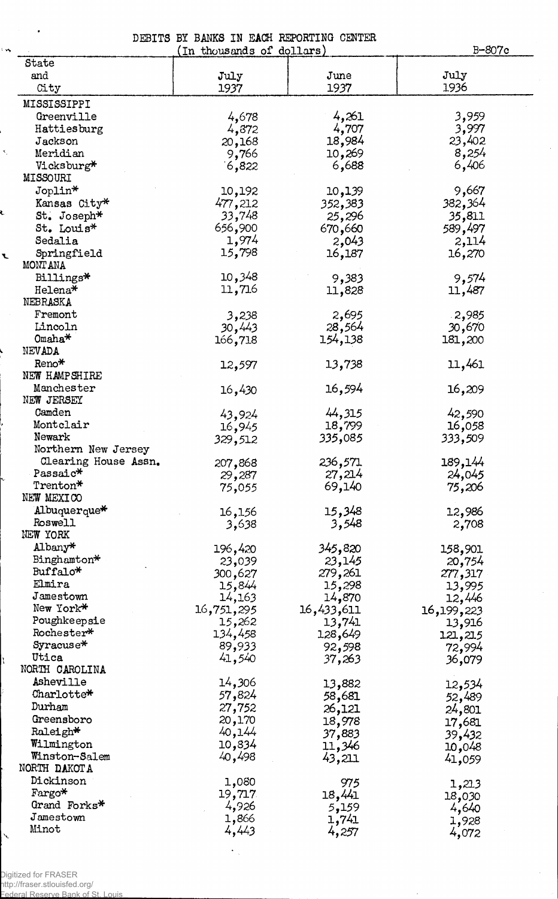DEBITS BY BANKS IN EACH REPORTING CENTER

(In thousands of dollars) B-807c State and July July June  $\bigcup$ City 1937 1937 1936 MISSISSIPPI Greenville 4,678 4,261 3,959<br>
Hattiesburg 4,772 4,707 3,997 Hattiesburg 4,872 4,707 3,997<br>Jackson 20,168 18,984 23,402 Jackson 20,168 18,984 23,402 Vicksburg\* '6,822 6,688 6,406 Meridian 8,254 9,766 10,269 8,254 MISSOURI<br>Joplin\* Joplin\* 10,192 10,139 9,667 Xansas City\* 477, 212 352, 383 382, 364<br>St. Joseph\* 33,748 25, 296 35, 811 St. Joseph\* 33,748 25,296 35,811<br>St. Louis\* 656,900 670,660 589,497 St. Louis\* 656,900 670,660 589,497<br>Sedalia 1,974 2,043 2,114 Sedalia 1,974 2,043 2,114 Springfield 15,798 16,187 16,270 MONTANA Billings\* 10,348 9,383 9,574  $He1ena*$  11,716 11,828 11,487 NEBRASKA Fremont 3,238 2,695 2,985 Lincoln 30,443 28,564 30,670  $\text{Omaha*}$  166,718 154,138 181,200 NEVADA<br>Reno\* Reno\* 12,597 13,738 11,461 NEW HAMPSHIRE Manchester 16,430 16,594 16,209 NEW JERSEY Camden 43,924 44,315 42,590<br>
Montclair 16,945 18,799 16,058<br>
Newark 329,512 335,085 333,509 Camden 43,924 44,315 42,590 Montclair 16,945 18,799 16,058 Northern New Jersey Clearing House Assn. 207,868 236,571 189,144<br>Passaic\* 29,287 27,214 24,045 Passaic\* 29,287 27,214 24,045  $Trenton*$  75,055 69,140 75,206 NEW MEXICO Albuquerque\* 16,156 15,348 12,986<br>Roswell 3,638 3,548 2,708  $R$ oswell  $3,638$   $3,548$  2,708 NEW YORK Albany\*<br>
Binghamton\* 196,420 345,820 158,901<br>
Buffalo\* 23,039 23,145 20,754<br>
277,317 279,261 277,317  $\text{Albany*}$  196,420  $\text{345,820}$  158,901 Buffalo\* 300,627 279,261 277,317 Elmira 15,844 15,298 13,995 Jamestown 14,163 14,870 12,446<br>
New York\* 16,751,295 16,433,611 16,199,223<br>
Poughkeepsie 15,262 13,741 13,916 Jamestown 14,163 14,870 12,446 Poughkeepsie 15,262<br>Rochester\* 134,458 Rochester\* 134,458 128,649 121,215 Syracuse\* 89,933 92,598 72,994 Utica 41,540 37,263 36,079 NORTH CAROLINA Asheville 14,306 13,882 12,534  $\text{Chapter 52,} \frac{1}{489}$  52,489 Durham  $27,752$   $26,121$   $24,801$ Greensboro 20,170 18,978 17,681 Raleigh\*  $40,144$   $37,883$   $39,432$ Raleigh\* 40,144 37,883 39,432<br>Wilmington 10,834 11,346 10,048<br>Winston-Salem 40,498 43,211 41,059 Winston-Salem  $40,498$   $43,211$   $41,059$ NORTH DAKOTA Dickinson 1,080 975 1,213  $F\text{argo*}$  19,717 18,441 18,030 Fargo\* 19,717 18,441 18,030<br>Grand Forks\* 4,926 5,159 4,640<br>Jamestown 1,866 1,741 1,928  $J$ amestown 1,866 1,741 1,928 Minot  $4,443$   $4,257$   $4,072$ 

Digitized for FRASER http://fraser.stlouisfed.org/

 $\mathbf{r}$ 

Federal Reserve Bank of St. Louis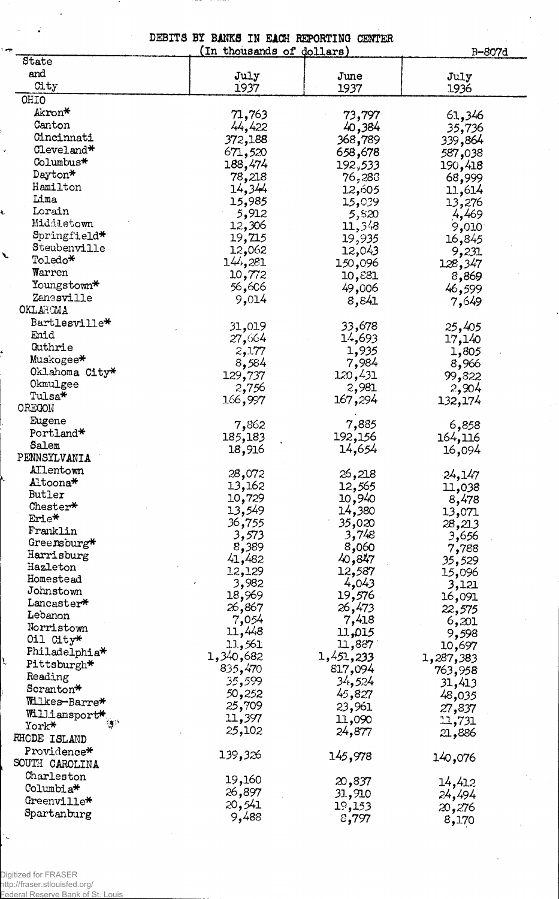DEBITS BY BANKS IN EACH REPORTING CENTER (In thousands of dollars)

B-807d

| State                     |                 |           | <u>ייז כיט</u> |
|---------------------------|-----------------|-----------|----------------|
| and                       | July            | June      | July           |
| City                      | 1937            | 1937      | 1936           |
| OHIO                      |                 |           |                |
| Akron*                    | 71,763          |           |                |
| Canton                    | 44,422          | 73,797    | 61,346         |
| Cincinnati                |                 | 40,384    | 35,736         |
| $\text{Cleveland*}$       | 372,188         | 368,789   | 339,864        |
| Columbus*                 | 671,520         | 658,678   | 587,038        |
|                           | 188,474         | 192,533   | 190,418        |
| Dayton*                   | 78,218          | 76,283    | 68,999         |
| Hamilton                  | 14,344          | 12,605    | 11,614         |
| Lima                      | 15,985          | 15,039    | 13,276         |
| Lorain                    | 5,912           | 5,820     | 4,469          |
| Middletown                | 12,306          | 11,348    | 9,010          |
| Springfield*              | 19,715          | 19,935    | 16,845         |
| Steubenville              | 12,062          | 12,043    | 9,231          |
| Toledo*                   | 144,281         | 150,096   | 128,347        |
| Warren                    | 10,772          | 10,881    | 8,869          |
| $\texttt{Youngstown*}$    | 56,606          | 49,006    | 46,599         |
| Zanesville                | 9,014           | 8,841     | 7,649          |
| OKLAHOMA                  |                 |           |                |
| Bartlesville*             | 31,019          | 33,678    | 25,405         |
| Enid                      | 27,664          | 14,693    | 17,140         |
| Guthrie                   | 2,177           | 1,935     | 1,805          |
| Muskogee*                 | 8,584           | 7,984     | 8,966          |
| Oklahoma City*            | 129,737         | 120,431   | 99,822         |
| Okmulgee                  | 2,756           | 2,981     | 2,904          |
| Tulsa*                    | 166,997         | 167,294   |                |
| OREGON                    |                 |           | 132,174        |
| Eugene                    | 7,862           | 7,885     |                |
| Portland*                 |                 |           | 6,858          |
| Salem                     | 185,183         | 192,156   | 164,116        |
| PENNSYLVANIA              | 18,916          | 14,654    | 16,094         |
| Allentown                 |                 |           |                |
| Altoona*                  | 28,072          | 26,218    | 24,147         |
| Butler                    | 13,162          | 12,565    | 11,038         |
| Chester*                  | 10,729          | 10,940    | 8,478          |
| Erie*                     | 13,549          | 14,380    | 13,071         |
| Franklin                  | 36 <b>,</b> 755 | 35,020    | 28,213         |
| Greensburg*               | 3,573           | 3,748     | 3,656          |
| Harrisburg                | 8,389           | 8,060     | 7,788          |
| Hazleton                  | 41,482          | 40,847    | 35,529         |
| Homestead                 | 12,129          | 12,587    | 15,096         |
| Johnstown                 | 3,982           | 4,043     | 3,121          |
| Lancaster*                | 18,969          | 19,576    | 16,091         |
| Lebanon                   | 26,867          | 26,473    | 22,575         |
| Norristown                | 7,054           | 7,418     | 6,201          |
| Oil City*                 | 11,448          | 11,015    | 9,598          |
| Philadelphia <sup>*</sup> | 11,561          | 11,887    | 10,697         |
| Pittsburgh*               | 1,340,682       | 1,451,233 | 1,287,383      |
| Reading                   | 835,470         | 817,094   | 763,958        |
| Scranton*                 | 35,599          | 34,524    | 31,413         |
| Wilkes-Barre*             | 50,252          | 45,827    | 48,035         |
|                           | 25,709          | 23,961    | 27,837         |
| Williamsport*<br>簿        | 11,397          | 11,090    | 11,731         |
| York*                     | 25,102          | 24,877    | 21,886         |
| RHODE ISLAND              |                 |           |                |
| Providence*               | 139,326         | 145,978   | 140,076        |
| SOUTH CAROLINA            |                 |           |                |
| Charleston                | 19,160          | 20,837    | 14,412         |
| Columbia <sup>*</sup>     | 26,897          | 31,910    | 24,494         |
| $Greenv111e^{\bigstar}$   | 20,541          | 19,153    | 20,276         |
| Spartanburg               | 9,488           | 8,797     | 8,170          |
|                           |                 |           |                |

Digitized for FRASER http://fraser.stlouisfed.org/ Federal Reserve Bank of St. Louis

 $\overline{a}$ 

نوم ۷

Ł

 $\overline{\phantom{a}}$ 

 $\mathbf{r}$ 

Ň